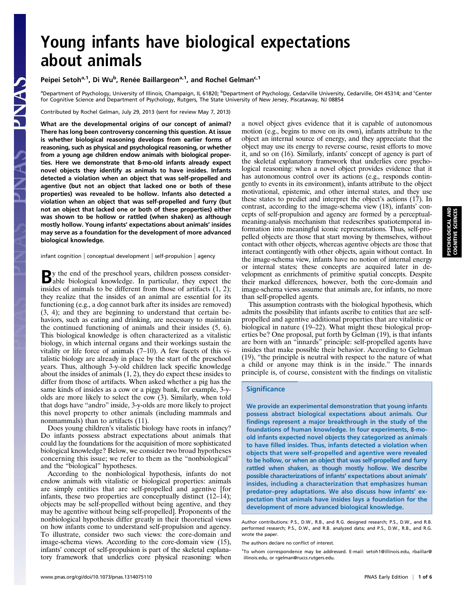## Young infants have biological expectations about animals

Peipei Setoh<sup>a,1</sup>, Di Wu<sup>b</sup>, Renée Baillargeon<sup>a,1</sup>, and Rochel Gelman<sup>c,1</sup>

<sup>a</sup>Department of Psychology, University of Illinois, Champaign, IL 61820; <sup>b</sup>Department of Psychology, Cedarville University, Cedarville, OH 45314; and <sup>c</sup>Center for Cognitive Science and Department of Psychology, Rutgers, The State University of New Jersey, Piscataway, NJ 08854

Contributed by Rochel Gelman, July 29, 2013 (sent for review May 7, 2013)

What are the developmental origins of our concept of animal? There has long been controversy concerning this question. At issue is whether biological reasoning develops from earlier forms of reasoning, such as physical and psychological reasoning, or whether from a young age children endow animals with biological properties. Here we demonstrate that 8-mo-old infants already expect novel objects they identify as animals to have insides. Infants detected a violation when an object that was self-propelled and agentive (but not an object that lacked one or both of these properties) was revealed to be hollow. Infants also detected a violation when an object that was self-propelled and furry (but not an object that lacked one or both of these properties) either was shown to be hollow or rattled (when shaken) as although mostly hollow. Young infants' expectations about animals' insides may serve as a foundation for the development of more advanced biological knowledge.

infant cognition | conceptual development | self-propulsion | agency

By the end of the preschool years, children possess consider-able biological knowledge. In particular, they expect the insides of animals to be different from those of artifacts (1, 2); they realize that the insides of an animal are essential for its functioning (e.g., a dog cannot bark after its insides are removed) (3, 4); and they are beginning to understand that certain behaviors, such as eating and drinking, are necessary to maintain the continued functioning of animals and their insides (5, 6). This biological knowledge is often characterized as a vitalistic biology, in which internal organs and their workings sustain the vitality or life force of animals (7–10). A few facets of this vitalistic biology are already in place by the start of the preschool years. Thus, although 3-y-old children lack specific knowledge about the insides of animals (1, 2), they do expect these insides to differ from those of artifacts. When asked whether a pig has the same kinds of insides as a cow or a piggy bank, for example, 3-yolds are more likely to select the cow (3). Similarly, when told that dogs have "andro" inside, 3-y-olds are more likely to project this novel property to other animals (including mammals and nonmammals) than to artifacts (11).

Does young children's vitalistic biology have roots in infancy? Do infants possess abstract expectations about animals that could lay the foundations for the acquisition of more sophisticated biological knowledge? Below, we consider two broad hypotheses concerning this issue; we refer to them as the "nonbiological" and the "biological" hypotheses.

According to the nonbiological hypothesis, infants do not endow animals with vitalistic or biological properties: animals are simply entities that are self-propelled and agentive [for infants, these two properties are conceptually distinct (12–14); objects may be self-propelled without being agentive, and they may be agentive without being self-propelled]. Proponents of the nonbiological hypothesis differ greatly in their theoretical views on how infants come to understand self-propulsion and agency. To illustrate, consider two such views: the core-domain and image-schema views. According to the core-domain view (15), infants' concept of self-propulsion is part of the skeletal explanatory framework that underlies core physical reasoning: when

a novel object gives evidence that it is capable of autonomous motion (e.g., begins to move on its own), infants attribute to the object an internal source of energy, and they appreciate that the object may use its energy to reverse course, resist efforts to move it, and so on (16). Similarly, infants' concept of agency is part of the skeletal explanatory framework that underlies core psychological reasoning: when a novel object provides evidence that it has autonomous control over its actions (e.g., responds contingently to events in its environment), infants attribute to the object motivational, epistemic, and other internal states, and they use these states to predict and interpret the object's actions (17). In contrast, according to the image-schema view (18), infants' concepts of self-propulsion and agency are formed by a perceptualmeaning-analysis mechanism that redescribes spatiotemporal information into meaningful iconic representations. Thus, self-propelled objects are those that start moving by themselves, without contact with other objects, whereas agentive objects are those that interact contingently with other objects, again without contact. In the image-schema view, infants have no notion of internal energy or internal states; these concepts are acquired later in development as enrichments of primitive spatial concepts. Despite their marked differences, however, both the core-domain and image-schema views assume that animals are, for infants, no more than self-propelled agents.

This assumption contrasts with the biological hypothesis, which admits the possibility that infants ascribe to entities that are selfpropelled and agentive additional properties that are vitalistic or biological in nature (19–22). What might these biological properties be? One proposal, put forth by Gelman (19), is that infants are born with an "innards" principle: self-propelled agents have insides that make possible their behavior. According to Gelman (19), "the principle is neutral with respect to the nature of what a child or anyone may think is in the inside." The innards principle is, of course, consistent with the findings on vitalistic

## **Significance**

We provide an experimental demonstration that young infants possess abstract biological expectations about animals. Our findings represent a major breakthrough in the study of the foundations of human knowledge. In four experiments, 8-moold infants expected novel objects they categorized as animals to have filled insides. Thus, infants detected a violation when objects that were self-propelled and agentive were revealed to be hollow, or when an object that was self-propelled and furry rattled when shaken, as though mostly hollow. We describe possible characterizations of infants' expectations about animals' insides, including a characterization that emphasizes human predator–prey adaptations. We also discuss how infants' expectation that animals have insides lays a foundation for the development of more advanced biological knowledge.

Author contributions: P.S., D.W., R.B., and R.G. designed research; P.S., D.W., and R.B. performed research; P.S., D.W., and R.B. analyzed data; and P.S., D.W., R.B., and R.G. wrote the paper.

The authors declare no conflict of interest.

<sup>&</sup>lt;sup>1</sup>To whom correspondence may be addressed. E-mail: setoh1@illinois.edu, rbaillar@ illinois.edu, or rgelman@ruccs.rutgers.edu.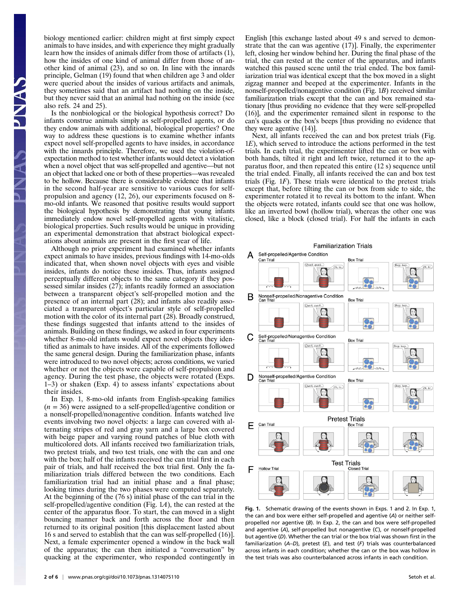biology mentioned earlier: children might at first simply expect animals to have insides, and with experience they might gradually learn how the insides of animals differ from those of artifacts (1), how the insides of one kind of animal differ from those of another kind of animal (23), and so on. In line with the innards principle, Gelman (19) found that when children age 3 and older were queried about the insides of various artifacts and animals, they sometimes said that an artifact had nothing on the inside, but they never said that an animal had nothing on the inside (see also refs. 24 and 25).

Is the nonbiological or the biological hypothesis correct? Do infants construe animals simply as self-propelled agents, or do they endow animals with additional, biological properties? One way to address these questions is to examine whether infants expect novel self-propelled agents to have insides, in accordance with the innards principle. Therefore, we used the violation-ofexpectation method to test whether infants would detect a violation when a novel object that was self-propelled and agentive—but not an object that lacked one or both of these properties—was revealed to be hollow. Because there is considerable evidence that infants in the second half-year are sensitive to various cues for selfpropulsion and agency (12, 26), our experiments focused on 8 mo-old infants. We reasoned that positive results would support the biological hypothesis by demonstrating that young infants immediately endow novel self-propelled agents with vitalistic, biological properties. Such results would be unique in providing an experimental demonstration that abstract biological expectations about animals are present in the first year of life.

Although no prior experiment had examined whether infants expect animals to have insides, previous findings with 14-mo-olds indicated that, when shown novel objects with eyes and visible insides, infants do notice these insides. Thus, infants assigned perceptually different objects to the same category if they possessed similar insides (27); infants readily formed an association between a transparent object's self-propelled motion and the presence of an internal part (28); and infants also readily associated a transparent object's particular style of self-propelled motion with the color of its internal part (28). Broadly construed, these findings suggested that infants attend to the insides of animals. Building on these findings, we asked in four experiments whether 8-mo-old infants would expect novel objects they identified as animals to have insides. All of the experiments followed the same general design. During the familiarization phase, infants were introduced to two novel objects; across conditions, we varied whether or not the objects were capable of self-propulsion and agency. During the test phase, the objects were rotated (Exps. 1–3) or shaken (Exp. 4) to assess infants' expectations about their insides.

In Exp. 1, 8-mo-old infants from English-speaking families  $(n = 36)$  were assigned to a self-propelled/agentive condition or a nonself-propelled/nonagentive condition. Infants watched live events involving two novel objects: a large can covered with alternating stripes of red and gray yarn and a large box covered with beige paper and varying round patches of blue cloth with multicolored dots. All infants received two familiarization trials, two pretest trials, and two test trials, one with the can and one with the box; half of the infants received the can trial first in each pair of trials, and half received the box trial first. Only the familiarization trials differed between the two conditions. Each familiarization trial had an initial phase and a final phase; looking times during the two phases were computed separately. At the beginning of the (76 s) initial phase of the can trial in the self-propelled/agentive condition (Fig. 1A), the can rested at the center of the apparatus floor. To start, the can moved in a slight bouncing manner back and forth across the floor and then returned to its original position [this displacement lasted about 16 s and served to establish that the can was self-propelled (16)]. Next, a female experimenter opened a window in the back wall of the apparatus; the can then initiated a "conversation" by quacking at the experimenter, who responded contingently in English [this exchange lasted about 49 s and served to demonstrate that the can was agentive (17)]. Finally, the experimenter left, closing her window behind her. During the final phase of the trial, the can rested at the center of the apparatus, and infants watched this paused scene until the trial ended. The box familiarization trial was identical except that the box moved in a slight zigzag manner and beeped at the experimenter. Infants in the nonself-propelled/nonagentive condition (Fig. 1B) received similar familiarization trials except that the can and box remained stationary [thus providing no evidence that they were self-propelled (16)], and the experimenter remained silent in response to the can's quacks or the box's beeps [thus providing no evidence that they were agentive (14)].

Next, all infants received the can and box pretest trials (Fig. 1E), which served to introduce the actions performed in the test trials. In each trial, the experimenter lifted the can or box with both hands, tilted it right and left twice, returned it to the apparatus floor, and then repeated this entire (12 s) sequence until the trial ended. Finally, all infants received the can and box test trials (Fig. 1F). These trials were identical to the pretest trials except that, before tilting the can or box from side to side, the experimenter rotated it to reveal its bottom to the infant. When the objects were rotated, infants could see that one was hollow, like an inverted bowl (hollow trial), whereas the other one was closed, like a block (closed trial). For half the infants in each



Fig. 1. Schematic drawing of the events shown in Exps. 1 and 2. In Exp. 1, the can and box were either self-propelled and agentive (A) or neither selfpropelled nor agentive (B). In Exp. 2, the can and box were self-propelled and agentive (A), self-propelled but nonagentive (C), or nonself-propelled but agentive (D). Whether the can trial or the box trial was shown first in the familiarization (A–D), pretest (E), and test (F) trials was counterbalanced across infants in each condition; whether the can or the box was hollow in the test trials was also counterbalanced across infants in each condition.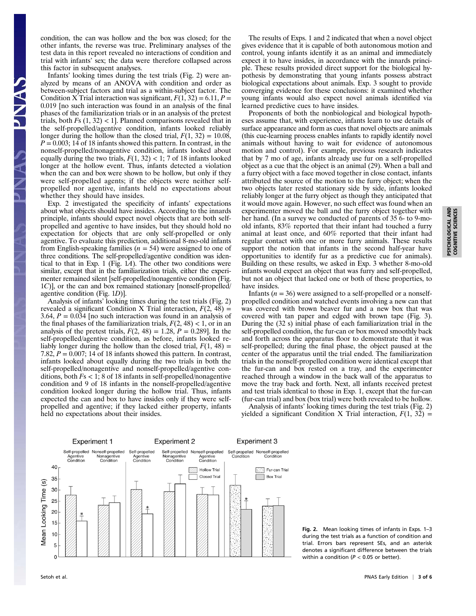condition, the can was hollow and the box was closed; for the other infants, the reverse was true. Preliminary analyses of the test data in this report revealed no interactions of condition and trial with infants' sex; the data were therefore collapsed across this factor in subsequent analyses.

Infants' looking times during the test trials (Fig. 2) were analyzed by means of an ANOVA with condition and order as between-subject factors and trial as a within-subject factor. The Condition X Trial interaction was significant,  $F(1, 32) = 6.11$ ,  $P =$ 0.019 [no such interaction was found in an analysis of the final phases of the familiarization trials or in an analysis of the pretest trials, both  $Fs(1, 32) < 1$ . Planned comparisons revealed that in the self-propelled/agentive condition, infants looked reliably longer during the hollow than the closed trial,  $F(1, 32) = 10.08$ ,  $P = 0.003$ ; 14 of 18 infants showed this pattern. In contrast, in the nonself-propelled/nonagentive condition, infants looked about equally during the two trials,  $F(1, 32) < 1$ ; 7 of 18 infants looked longer at the hollow event. Thus, infants detected a violation when the can and box were shown to be hollow, but only if they were self-propelled agents; if the objects were neither selfpropelled nor agentive, infants held no expectations about whether they should have insides.

Exp. 2 investigated the specificity of infants' expectations about what objects should have insides. According to the innards principle, infants should expect novel objects that are both selfpropelled and agentive to have insides, but they should hold no expectation for objects that are only self-propelled or only agentive. To evaluate this prediction, additional 8-mo-old infants from English-speaking families ( $n = 54$ ) were assigned to one of three conditions. The self-propelled/agentive condition was identical to that in Exp. 1 (Fig.  $1A$ ). The other two conditions were similar, except that in the familiarization trials, either the experimenter remained silent [self-propelled/nonagentive condition (Fig. 1C)], or the can and box remained stationary [nonself-propelled/ agentive condition (Fig. 1D)].

Analysis of infants' looking times during the test trials (Fig. 2) revealed a significant Condition X Trial interaction,  $F(2, 48) =$ 3.64,  $P = 0.034$  [no such interaction was found in an analysis of the final phases of the familiarization trials,  $F(2, 48) < 1$ , or in an analysis of the pretest trials,  $F(2, 48) = 1.28$ ,  $P = 0.289$ . In the self-propelled/agentive condition, as before, infants looked reliably longer during the hollow than the closed trial,  $F(1, 48) =$ 7.82,  $P = 0.007$ ; 14 of 18 infants showed this pattern. In contrast, infants looked about equally during the two trials in both the self-propelled/nonagentive and nonself-propelled/agentive conditions, both  $Fs < 1$ ; 8 of 18 infants in self-propelled/nonagentive condition and 9 of 18 infants in the nonself-propelled/agentive condition looked longer during the hollow trial. Thus, infants expected the can and box to have insides only if they were selfpropelled and agentive; if they lacked either property, infants held no expectations about their insides.

The results of Exps. 1 and 2 indicated that when a novel object gives evidence that it is capable of both autonomous motion and control, young infants identify it as an animal and immediately expect it to have insides, in accordance with the innards principle. These results provided direct support for the biological hypothesis by demonstrating that young infants possess abstract biological expectations about animals. Exp. 3 sought to provide converging evidence for these conclusions: it examined whether young infants would also expect novel animals identified via learned predictive cues to have insides.

Proponents of both the nonbiological and biological hypotheses assume that, with experience, infants learn to use details of surface appearance and form as cues that novel objects are animals (this cue-learning process enables infants to rapidly identify novel animals without having to wait for evidence of autonomous motion and control). For example, previous research indicates that by 7 mo of age, infants already use fur on a self-propelled object as a cue that the object is an animal (29). When a ball and a furry object with a face moved together in close contact, infants attributed the source of the motion to the furry object; when the two objects later rested stationary side by side, infants looked reliably longer at the furry object as though they anticipated that it would move again. However, no such effect was found when an experimenter moved the ball and the furry object together with her hand. (In a survey we conducted of parents of 35 6- to 9-moold infants, 83% reported that their infant had touched a furry animal at least once, and 60% reported that their infant had regular contact with one or more furry animals. These results support the notion that infants in the second half-year have opportunities to identify fur as a predictive cue for animals). Building on these results, we asked in Exp. 3 whether 8-mo-old infants would expect an object that was furry and self-propelled, but not an object that lacked one or both of these properties, to have insides.

Infants  $(n = 36)$  were assigned to a self-propelled or a nonselfpropelled condition and watched events involving a new can that was covered with brown beaver fur and a new box that was covered with tan paper and edged with brown tape (Fig. 3). During the (32 s) initial phase of each familiarization trial in the self-propelled condition, the fur-can or box moved smoothly back and forth across the apparatus floor to demonstrate that it was self-propelled; during the final phase, the object paused at the center of the apparatus until the trial ended. The familiarization trials in the nonself-propelled condition were identical except that the fur-can and box rested on a tray, and the experimenter reached through a window in the back wall of the apparatus to move the tray back and forth. Next, all infants received pretest and test trials identical to those in Exp. 1, except that the fur-can (fur-can trial) and box (box trial) were both revealed to be hollow.

Analysis of infants' looking times during the test trials (Fig. 2) yielded a significant Condition X Trial interaction,  $F(1, 32) =$ 

**Experiment 1 Experiment 2 Experiment 3** Self-propelled Nonself-propelled Self-propelled Self-propelled Nonself-propelled Self-propelled Nonself-propelled<br>Condition Condition Agentive<br>Condition Nonagentive<br>Condition Agentive<br>Condition Agentive<br>Condition Nonagentive<br>Condition **Hollow Trial** Fur-can Trial **Closed Trial Box Trial** 

Fig. 2. Mean looking times of infants in Exps. 1–3 during the test trials as a function of condition and trial. Errors bars represent SEs, and an asterisk denotes a significant difference between the trials within a condition ( $P < 0.05$  or better).

40

35

Mean Looking Time (s)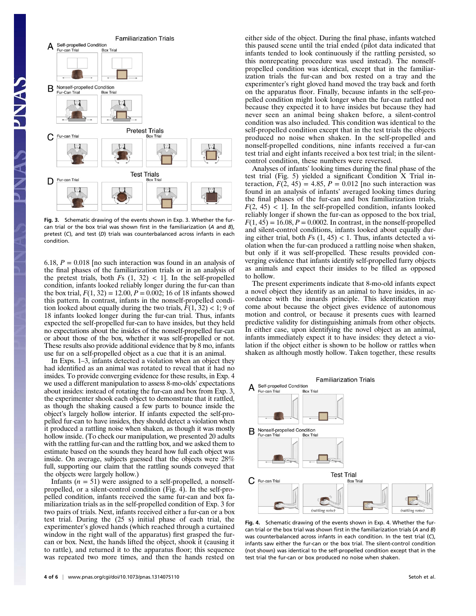

Fig. 3. Schematic drawing of the events shown in Exp. 3. Whether the furcan trial or the box trial was shown first in the familiarization (A and B), pretest (C), and test (D) trials was counterbalanced across infants in each condition.

6.18,  $P = 0.018$  [no such interaction was found in an analysis of the final phases of the familiarization trials or in an analysis of the pretest trials, both  $Fs$  (1, 32) < 1]. In the self-propelled condition, infants looked reliably longer during the fur-can than the box trial,  $F(1, 32) = 12.00$ ,  $P = 0.002$ ; 16 of 18 infants showed this pattern. In contrast, infants in the nonself-propelled condition looked about equally during the two trials,  $F(1, 32) < 1$ ; 9 of 18 infants looked longer during the fur-can trial. Thus, infants expected the self-propelled fur-can to have insides, but they held no expectations about the insides of the nonself-propelled fur-can or about those of the box, whether it was self-propelled or not. These results also provide additional evidence that by 8 mo, infants use fur on a self-propelled object as a cue that it is an animal.

In Exps. 1–3, infants detected a violation when an object they had identified as an animal was rotated to reveal that it had no insides. To provide converging evidence for these results, in Exp. 4 we used a different manipulation to assess 8-mo-olds' expectations about insides: instead of rotating the fur-can and box from Exp. 3, the experimenter shook each object to demonstrate that it rattled, as though the shaking caused a few parts to bounce inside the object's largely hollow interior. If infants expected the self-propelled fur-can to have insides, they should detect a violation when it produced a rattling noise when shaken, as though it was mostly hollow inside. (To check our manipulation, we presented 20 adults with the rattling fur-can and the rattling box, and we asked them to estimate based on the sounds they heard how full each object was inside. On average, subjects guessed that the objects were 28% full, supporting our claim that the rattling sounds conveyed that the objects were largely hollow.)

Infants ( $n = 51$ ) were assigned to a self-propelled, a nonselfpropelled, or a silent-control condition (Fig. 4). In the self-propelled condition, infants received the same fur-can and box familiarization trials as in the self-propelled condition of Exp. 3 for two pairs of trials. Next, infants received either a fur-can or a box test trial. During the (25 s) initial phase of each trial, the experimenter's gloved hands (which reached through a curtained window in the right wall of the apparatus) first grasped the furcan or box. Next, the hands lifted the object, shook it (causing it to rattle), and returned it to the apparatus floor; this sequence was repeated two more times, and then the hands rested on either side of the object. During the final phase, infants watched this paused scene until the trial ended (pilot data indicated that infants tended to look continuously if the rattling persisted, so this nonrepeating procedure was used instead). The nonselfpropelled condition was identical, except that in the familiarization trials the fur-can and box rested on a tray and the experimenter's right gloved hand moved the tray back and forth on the apparatus floor. Finally, because infants in the self-propelled condition might look longer when the fur-can rattled not because they expected it to have insides but because they had never seen an animal being shaken before, a silent-control condition was also included. This condition was identical to the self-propelled condition except that in the test trials the objects produced no noise when shaken. In the self-propelled and nonself-propelled conditions, nine infants received a fur-can test trial and eight infants received a box test trial; in the silentcontrol condition, these numbers were reversed.

Analyses of infants' looking times during the final phase of the test trial (Fig. 5) yielded a significant Condition X Trial interaction,  $F(2, 45) = 4.85$ ,  $P = 0.012$  [no such interaction was found in an analysis of infants' averaged looking times during the final phases of the fur-can and box familiarization trials,  $F(2, 45)$  < 1]. In the self-propelled condition, infants looked reliably longer if shown the fur-can as opposed to the box trial,  $F(1, 45) = 16.08$ ,  $P = 0.0002$ . In contrast, in the nonself-propelled and silent-control conditions, infants looked about equally during either trial, both  $Fs(1, 45) < 1$ . Thus, infants detected a violation when the fur-can produced a rattling noise when shaken, but only if it was self-propelled. These results provided converging evidence that infants identify self-propelled furry objects as animals and expect their insides to be filled as opposed to hollow.

The present experiments indicate that 8-mo-old infants expect a novel object they identify as an animal to have insides, in accordance with the innards principle. This identification may come about because the object gives evidence of autonomous motion and control, or because it presents cues with learned predictive validity for distinguishing animals from other objects. In either case, upon identifying the novel object as an animal, infants immediately expect it to have insides: they detect a violation if the object either is shown to be hollow or rattles when shaken as although mostly hollow. Taken together, these results



Fig. 4. Schematic drawing of the events shown in Exp. 4. Whether the furcan trial or the box trial was shown first in the familiarization trials (A and B) was counterbalanced across infants in each condition. In the test trial (C), infants saw either the fur-can or the box trial. The silent-control condition (not shown) was identical to the self-propelled condition except that in the test trial the fur-can or box produced no noise when shaken.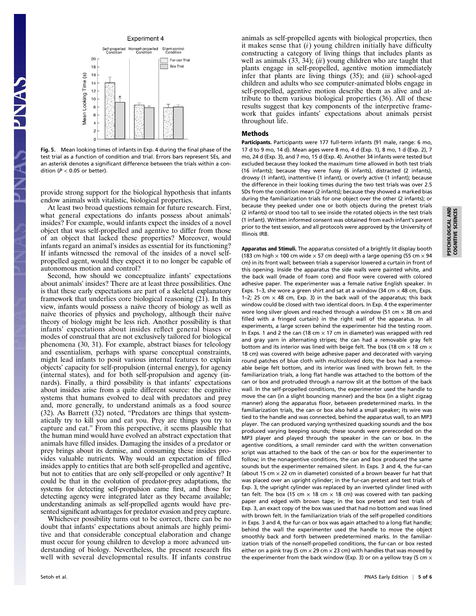## **Experiment 4**



Fig. 5. Mean looking times of infants in Exp. 4 during the final phase of the test trial as a function of condition and trial. Errors bars represent SEs, and an asterisk denotes a significant difference between the trials within a condition ( $P < 0.05$  or better).

provide strong support for the biological hypothesis that infants endow animals with vitalistic, biological properties.

At least two broad questions remain for future research. First, what general expectations do infants possess about animals' insides? For example, would infants expect the insides of a novel object that was self-propelled and agentive to differ from those of an object that lacked these properties? Moreover, would infants regard an animal's insides as essential for its functioning? If infants witnessed the removal of the insides of a novel selfpropelled agent, would they expect it to no longer be capable of autonomous motion and control?

Second, how should we conceptualize infants' expectations about animals' insides? There are at least three possibilities. One is that these early expectations are part of a skeletal explanatory framework that underlies core biological reasoning (21). In this view, infants would possess a naïve theory of biology as well as naïve theories of physics and psychology, although their naïve theory of biology might be less rich. Another possibility is that infants' expectations about insides reflect general biases or modes of construal that are not exclusively tailored for biological phenomena (30, 31). For example, abstract biases for teleology and essentialism, perhaps with sparse conceptual constraints, might lead infants to posit various internal features to explain objects' capacity for self-propulsion (internal energy), for agency (internal states), and for both self-propulsion and agency (innards). Finally, a third possibility is that infants' expectations about insides arise from a quite different source: the cognitive systems that humans evolved to deal with predators and prey and, more generally, to understand animals as a food source (32). As Barrett (32) noted, "Predators are things that systematically try to kill you and eat you. Prey are things you try to capture and eat." From this perspective, it seems plausible that the human mind would have evolved an abstract expectation that animals have filled insides. Damaging the insides of a predator or prey brings about its demise, and consuming these insides provides valuable nutrients. Why would an expectation of filled insides apply to entities that are both self-propelled and agentive, but not to entities that are only self-propelled or only agentive? It could be that in the evolution of predator-prey adaptations, the systems for detecting self-propulsion came first, and those for detecting agency were integrated later as they became available; understanding animals as self-propelled agents would have presented significant advantages for predator evasion and prey capture.

Whichever possibility turns out to be correct, there can be no doubt that infants' expectations about animals are highly primitive and that considerable conceptual elaboration and change must occur for young children to develop a more advanced understanding of biology. Nevertheless, the present research fits well with several developmental results. If infants construe animals as self-propelled agents with biological properties, then it makes sense that  $(i)$  young children initially have difficulty constructing a category of living things that includes plants as well as animals  $(33, 34)$ ;  $(ii)$  young children who are taught that plants engage in self-propelled, agentive motion immediately infer that plants are living things  $(35)$ ; and  $(iii)$  school-aged children and adults who see computer-animated blobs engage in self-propelled, agentive motion describe them as alive and attribute to them various biological properties (36). All of these results suggest that key components of the interpretive framework that guides infants' expectations about animals persist throughout life.

## Methods

Participants. Participants were 177 full-term infants (91 male, range: 6 mo, 17 d to 9 mo, 14 d). Mean ages were 8 mo, 4 d (Exp. 1), 8 mo, 1 d (Exp. 2), 7 mo, 24 d (Exp. 3), and 7 mo, 15 d (Exp. 4). Another 34 infants were tested but excluded because they looked the maximum time allowed in both test trials (16 infants); because they were fussy (6 infants), distracted (2 infants), drowsy (1 infant), inattentive (1 infant), or overly active (1 infant); because the difference in their looking times during the two test trials was over 2.5 SDs from the condition mean (2 infants); because they showed a marked bias during the familiarization trials for one object over the other (2 infants); or because they peeked under one or both objects during the pretest trials (2 infants) or stood too tall to see inside the rotated objects in the test trials (1 infant). Written informed consent was obtained from each infant's parent prior to the test session, and all protocols were approved by the University of Illinois IRB.

Apparatus and Stimuli. The apparatus consisted of a brightly lit display booth (183 cm high  $\times$  100 cm wide  $\times$  57 cm deep) with a large opening (55 cm  $\times$  94 cm) in its front wall; between trials a supervisor lowered a curtain in front of this opening. Inside the apparatus the side walls were painted white, and the back wall (made of foam core) and floor were covered with colored adhesive paper. The experimenter was a female native English speaker. In Exps. 1–3, she wore a green shirt and sat at a window (34 cm  $\times$  48 cm, Exps. 1–2; 25 cm  $\times$  48 cm, Exp. 3) in the back wall of the apparatus; this back window could be closed with two identical doors. In Exp. 4 the experimenter wore long silver gloves and reached through a window (51 cm  $\times$  38 cm and filled with a fringed curtain) in the right wall of the apparatus. In all experiments, a large screen behind the experimenter hid the testing room. In Exps. 1 and 2 the can (18 cm  $\times$  17 cm in diameter) was wrapped with red and gray yarn in alternating stripes; the can had a removable gray felt bottom and its interior was lined with beige felt. The box (18 cm  $\times$  18 cm  $\times$ 18 cm) was covered with beige adhesive paper and decorated with varying round patches of blue cloth with multicolored dots; the box had a removable beige felt bottom, and its interior was lined with brown felt. In the familiarization trials, a long flat handle was attached to the bottom of the can or box and protruded through a narrow slit at the bottom of the back wall. In the self-propelled conditions, the experimenter used the handle to move the can (in a slight bouncing manner) and the box (in a slight zigzag manner) along the apparatus floor, between predetermined marks. In the familiarization trials, the can or box also held a small speaker; its wire was tied to the handle and was connected, behind the apparatus wall, to an MP3 player. The can produced varying synthesized quacking sounds and the box produced varying beeping sounds; these sounds were prerecorded on the MP3 player and played through the speaker in the can or box. In the agentive conditions, a small reminder card with the written conversation script was attached to the back of the can or box for the experimenter to follow; in the nonagentive conditions, the can and box produced the same sounds but the experimenter remained silent. In Exps. 3 and 4, the fur-can (about 15 cm  $\times$  22 cm in diameter) consisted of a brown beaver fur hat that was placed over an upright cylinder; in the fur-can pretest and test trials of Exp. 3, the upright cylinder was replaced by an inverted cylinder lined with tan felt. The box (15 cm  $\times$  18 cm  $\times$  18 cm) was covered with tan packing paper and edged with brown tape; in the box pretest and test trials of Exp. 3, an exact copy of the box was used that had no bottom and was lined with brown felt. In the familiarization trials of the self-propelled conditions in Exps. 3 and 4, the fur-can or box was again attached to a long flat handle; behind the wall the experimenter used the handle to move the object smoothly back and forth between predetermined marks. In the familiarization trials of the nonself-propelled conditions, the fur-can or box rested either on a pink tray (5 cm  $\times$  29 cm  $\times$  23 cm) with handles that was moved by the experimenter from the back window (Exp. 3) or on a yellow tray (5 cm  $\times$ 

PSYCHOLOGICAL AND COGNITIVE SCIENCES

PSYCHOLOGICAL AND<br>COGNITIVE SCIENCES